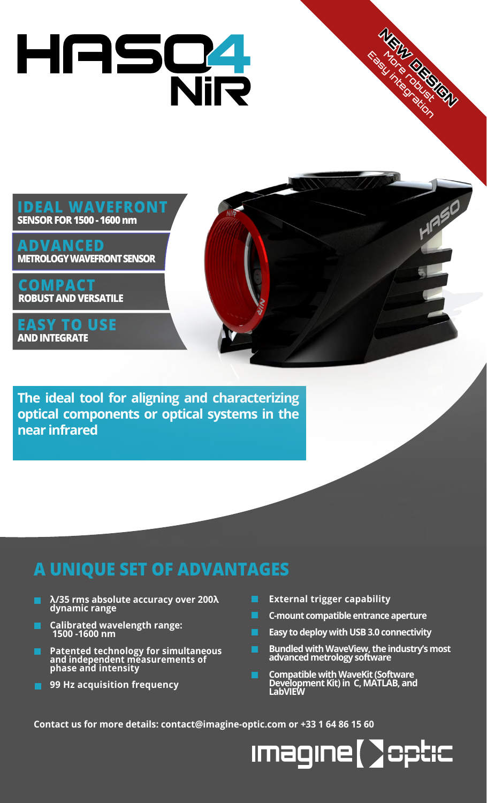# HASC4

### **IDEAL WAVEFRONT SENSOR FOR 1500 - 1600 nm**

**ADVANCED METROLOGY WAVEFRONT SENSOR**

**COMPACT ROBUST AND VERSATILE**

**EASY TO USE AND INTEGRATE**

**The ideal tool for aligning and characterizing optical components or optical systems in the near infrared**

### **A UNIQUE SET OF ADVANTAGES**

- **λ/35 rms absolute accuracy over 200λ dynamic range**
- **Calibrated wavelength range: 1500 -1600 nm**
- **Patented technology for simultaneous and independent measurements of phase and intensity**
- **99 Hz acquisition frequency**
- **External trigger capability**
- **C-mount compatible entrance aperture**
- **Easy to deploy with USB 3.0 connectivity**
- **Bundled with WaveView, the industry's most advanced metrology software**

NEW DESIGNANT

Easy integration

**Compatible with WaveKit (Software Development Kit) in C, MATLAB, and LabVIEW**

**Contact us for more details: contact@imagine-optic.com or +33 1 64 86 15 60**

**Imagine [ ] optic**